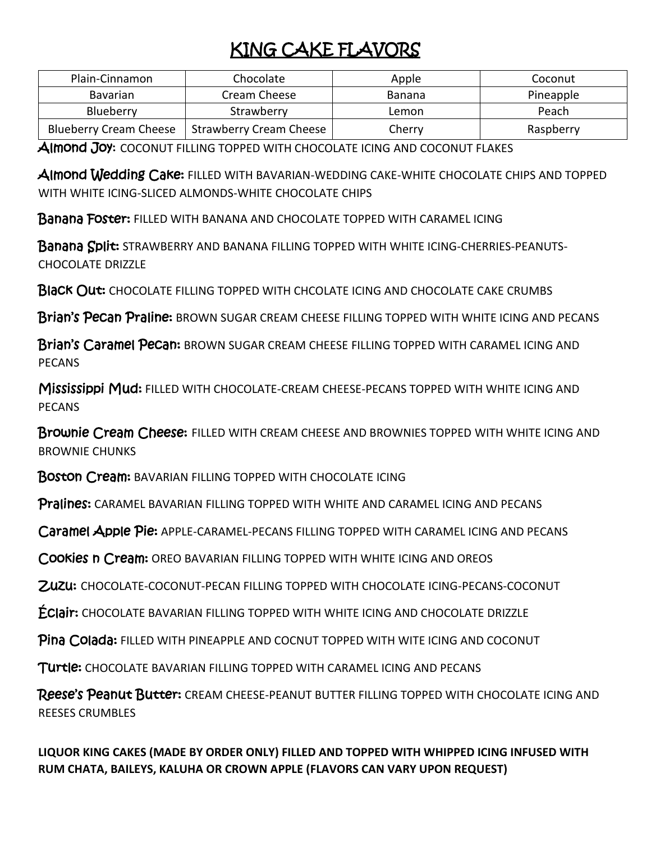## KING CAKE FLAVORS

| Plain-Cinnamon                | Chocolate                      | Apple  | Coconut   |
|-------------------------------|--------------------------------|--------|-----------|
| <b>Bavarian</b>               | Cream Cheese                   | Banana | Pineapple |
| Blueberry                     | Strawberry                     | Lemon  | Peach     |
| <b>Blueberry Cream Cheese</b> | <b>Strawberry Cream Cheese</b> | Cherry | Raspberry |

Almond Joy: COCONUT FILLING TOPPED WITH CHOCOLATE ICING AND COCONUT FLAKES

Almond Wedding Cake: FILLED WITH BAVARIAN-WEDDING CAKE-WHITE CHOCOLATE CHIPS AND TOPPED WITH WHITE ICING-SLICED ALMONDS-WHITE CHOCOLATE CHIPS

**Banana Foster: FILLED WITH BANANA AND CHOCOLATE TOPPED WITH CARAMEL ICING** 

Banana Split: STRAWBERRY AND BANANA FILLING TOPPED WITH WHITE ICING-CHERRIES-PEANUTS-CHOCOLATE DRIZZLE

Black Out: CHOCOLATE FILLING TOPPED WITH CHCOLATE ICING AND CHOCOLATE CAKE CRUMBS

Brian's Pecan Praline: BROWN SUGAR CREAM CHEESE FILLING TOPPED WITH WHITE ICING AND PECANS

Brian's Caramel Pecan: BROWN SUGAR CREAM CHEESE FILLING TOPPED WITH CARAMEL ICING AND **PECANS** 

Mississippi Mud: FILLED WITH CHOCOLATE-CREAM CHEESE-PECANS TOPPED WITH WHITE ICING AND PECANS

Brownie Cream Cheese: FILLED WITH CREAM CHEESE AND BROWNIES TOPPED WITH WHITE ICING AND BROWNIE CHUNKS

Boston Cream: BAVARIAN FILLING TOPPED WITH CHOCOLATE ICING

Pralines: CARAMEL BAVARIAN FILLING TOPPED WITH WHITE AND CARAMEL ICING AND PECANS

Caramel Apple Pie: APPLE-CARAMEL-PECANS FILLING TOPPED WITH CARAMEL ICING AND PECANS

Cookies n Cream: OREO BAVARIAN FILLING TOPPED WITH WHITE ICING AND OREOS

Zuzu: CHOCOLATE-COCONUT-PECAN FILLING TOPPED WITH CHOCOLATE ICING-PECANS-COCONUT

Éclair: CHOCOLATE BAVARIAN FILLING TOPPED WITH WHITE ICING AND CHOCOLATE DRIZZLE

**Pina Colada:** FILLED WITH PINEAPPLE AND COCNUT TOPPED WITH WITE ICING AND COCONUT

Turtle: CHOCOLATE BAVARIAN FILLING TOPPED WITH CARAMEL ICING AND PECANS

Reese's Peanut Butter: CREAM CHEESE-PEANUT BUTTER FILLING TOPPED WITH CHOCOLATE ICING AND REESES CRUMBLES

**LIQUOR KING CAKES (MADE BY ORDER ONLY) FILLED AND TOPPED WITH WHIPPED ICING INFUSED WITH RUM CHATA, BAILEYS, KALUHA OR CROWN APPLE (FLAVORS CAN VARY UPON REQUEST)**